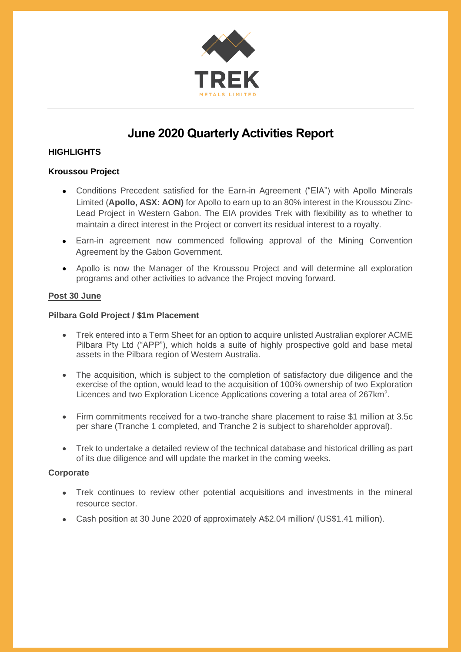

# **June 2020 Quarterly Activities Report**

### **HIGHLIGHTS**

#### **Kroussou Project**

- Conditions Precedent satisfied for the Earn-in Agreement ("EIA") with Apollo Minerals Limited (**Apollo, ASX: AON)** for Apollo to earn up to an 80% interest in the Kroussou Zinc-Lead Project in Western Gabon. The EIA provides Trek with flexibility as to whether to maintain a direct interest in the Project or convert its residual interest to a royalty.
- Earn-in agreement now commenced following approval of the Mining Convention Agreement by the Gabon Government.
- Apollo is now the Manager of the Kroussou Project and will determine all exploration programs and other activities to advance the Project moving forward.

#### **Post 30 June**

#### **Pilbara Gold Project / \$1m Placement**

- Trek entered into a Term Sheet for an option to acquire unlisted Australian explorer ACME Pilbara Pty Ltd ("APP"), which holds a suite of highly prospective gold and base metal assets in the Pilbara region of Western Australia.
- The acquisition, which is subject to the completion of satisfactory due diligence and the exercise of the option, would lead to the acquisition of 100% ownership of two Exploration Licences and two Exploration Licence Applications covering a total area of 267km<sup>2</sup>.
- Firm commitments received for a two-tranche share placement to raise \$1 million at 3.5c per share (Tranche 1 completed, and Tranche 2 is subject to shareholder approval).
- Trek to undertake a detailed review of the technical database and historical drilling as part of its due diligence and will update the market in the coming weeks.

#### **Corporate**

- Trek continues to review other potential acquisitions and investments in the mineral resource sector.
- Cash position at 30 June 2020 of approximately A\$2.04 million/ (US\$1.41 million).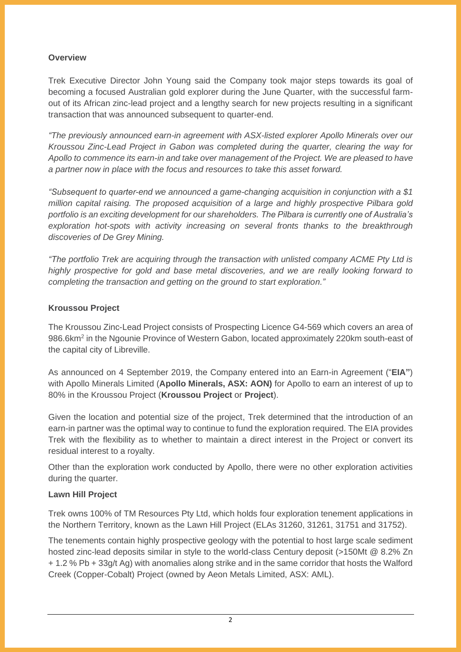#### **Overview**

Trek Executive Director John Young said the Company took major steps towards its goal of becoming a focused Australian gold explorer during the June Quarter, with the successful farmout of its African zinc-lead project and a lengthy search for new projects resulting in a significant transaction that was announced subsequent to quarter-end.

*"The previously announced earn-in agreement with ASX-listed explorer Apollo Minerals over our Kroussou Zinc-Lead Project in Gabon was completed during the quarter, clearing the way for Apollo to commence its earn-in and take over management of the Project. We are pleased to have a partner now in place with the focus and resources to take this asset forward.*

*"Subsequent to quarter-end we announced a game-changing acquisition in conjunction with a \$1 million capital raising. The proposed acquisition of a large and highly prospective Pilbara gold portfolio is an exciting development for our shareholders. The Pilbara is currently one of Australia's exploration hot-spots with activity increasing on several fronts thanks to the breakthrough discoveries of De Grey Mining.* 

*"The portfolio Trek are acquiring through the transaction with unlisted company ACME Pty Ltd is highly prospective for gold and base metal discoveries, and we are really looking forward to completing the transaction and getting on the ground to start exploration."*

#### **Kroussou Project**

The Kroussou Zinc-Lead Project consists of Prospecting Licence G4-569 which covers an area of 986.6km<sup>2</sup> in the Ngounie Province of Western Gabon, located approximately 220km south-east of the capital city of Libreville.

As announced on 4 September 2019, the Company entered into an Earn-in Agreement ("**EIA"**) with Apollo Minerals Limited (**Apollo Minerals, ASX: AON)** for Apollo to earn an interest of up to 80% in the Kroussou Project (**Kroussou Project** or **Project**).

Given the location and potential size of the project, Trek determined that the introduction of an earn-in partner was the optimal way to continue to fund the exploration required. The EIA provides Trek with the flexibility as to whether to maintain a direct interest in the Project or convert its residual interest to a royalty.

Other than the exploration work conducted by Apollo, there were no other exploration activities during the quarter.

#### **Lawn Hill Project**

Trek owns 100% of TM Resources Pty Ltd, which holds four exploration tenement applications in the Northern Territory, known as the Lawn Hill Project (ELAs 31260, 31261, 31751 and 31752).

The tenements contain highly prospective geology with the potential to host large scale sediment hosted zinc-lead deposits similar in style to the world-class Century deposit (>150Mt @ 8.2% Zn + 1.2 % Pb + 33g/t Ag) with anomalies along strike and in the same corridor that hosts the Walford Creek (Copper-Cobalt) Project (owned by Aeon Metals Limited, ASX: AML).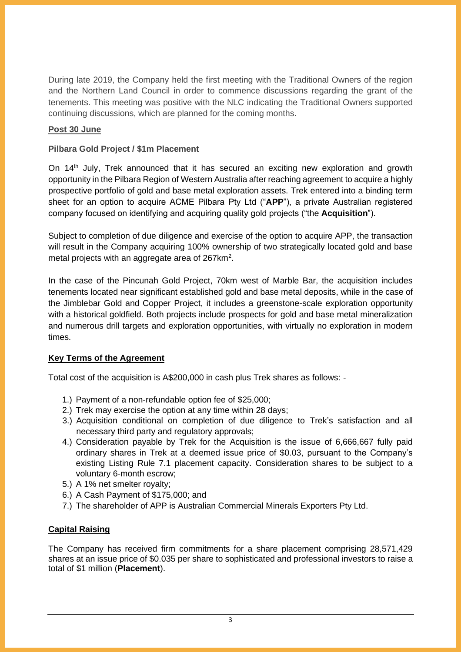During late 2019, the Company held the first meeting with the Traditional Owners of the region and the Northern Land Council in order to commence discussions regarding the grant of the tenements. This meeting was positive with the NLC indicating the Traditional Owners supported continuing discussions, which are planned for the coming months.

## **Post 30 June**

#### **Pilbara Gold Project / \$1m Placement**

On 14<sup>th</sup> July, Trek announced that it has secured an exciting new exploration and growth opportunity in the Pilbara Region of Western Australia after reaching agreement to acquire a highly prospective portfolio of gold and base metal exploration assets. Trek entered into a binding term sheet for an option to acquire ACME Pilbara Pty Ltd ("**APP**"), a private Australian registered company focused on identifying and acquiring quality gold projects ("the **Acquisition**").

Subject to completion of due diligence and exercise of the option to acquire APP, the transaction will result in the Company acquiring 100% ownership of two strategically located gold and base metal projects with an aggregate area of  $267$ km<sup>2</sup>.

In the case of the Pincunah Gold Project, 70km west of Marble Bar, the acquisition includes tenements located near significant established gold and base metal deposits, while in the case of the Jimblebar Gold and Copper Project, it includes a greenstone-scale exploration opportunity with a historical goldfield. Both projects include prospects for gold and base metal mineralization and numerous drill targets and exploration opportunities, with virtually no exploration in modern times.

#### **Key Terms of the Agreement**

Total cost of the acquisition is A\$200,000 in cash plus Trek shares as follows: -

- 1.) Payment of a non-refundable option fee of \$25,000;
- 2.) Trek may exercise the option at any time within 28 days;
- 3.) Acquisition conditional on completion of due diligence to Trek's satisfaction and all necessary third party and regulatory approvals;
- 4.) Consideration payable by Trek for the Acquisition is the issue of 6,666,667 fully paid ordinary shares in Trek at a deemed issue price of \$0.03, pursuant to the Company's existing Listing Rule 7.1 placement capacity. Consideration shares to be subject to a voluntary 6-month escrow;
- 5.) A 1% net smelter royalty;
- 6.) A Cash Payment of \$175,000; and
- 7.) The shareholder of APP is Australian Commercial Minerals Exporters Pty Ltd.

#### **Capital Raising**

The Company has received firm commitments for a share placement comprising 28,571,429 shares at an issue price of \$0.035 per share to sophisticated and professional investors to raise a total of \$1 million (**Placement**).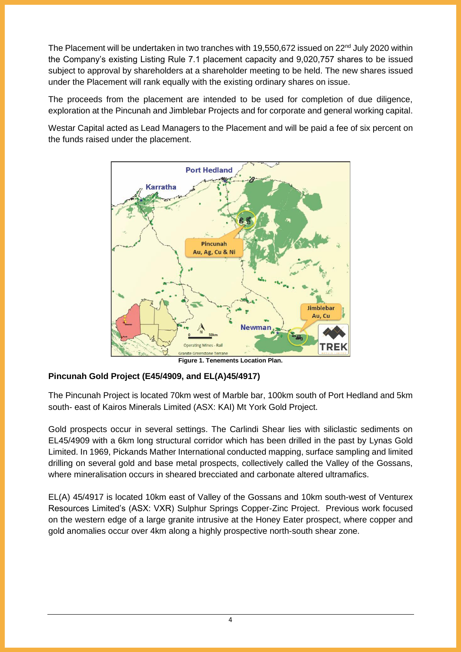The Placement will be undertaken in two tranches with 19,550,672 issued on 22<sup>nd</sup> July 2020 within the Company's existing Listing Rule 7.1 placement capacity and 9,020,757 shares to be issued subject to approval by shareholders at a shareholder meeting to be held. The new shares issued under the Placement will rank equally with the existing ordinary shares on issue.

The proceeds from the placement are intended to be used for completion of due diligence, exploration at the Pincunah and Jimblebar Projects and for corporate and general working capital.

Westar Capital acted as Lead Managers to the Placement and will be paid a fee of six percent on the funds raised under the placement.



**Figure 1. Tenements Location Plan.**

## **Pincunah Gold Project (E45/4909, and EL(A)45/4917)**

The Pincunah Project is located 70km west of Marble bar, 100km south of Port Hedland and 5km south- east of Kairos Minerals Limited (ASX: KAI) Mt York Gold Project.

Gold prospects occur in several settings. The Carlindi Shear lies with siliclastic sediments on EL45/4909 with a 6km long structural corridor which has been drilled in the past by Lynas Gold Limited. In 1969, Pickands Mather International conducted mapping, surface sampling and limited drilling on several gold and base metal prospects, collectively called the Valley of the Gossans, where mineralisation occurs in sheared brecciated and carbonate altered ultramafics.

EL(A) 45/4917 is located 10km east of Valley of the Gossans and 10km south-west of Venturex Resources Limited's (ASX: VXR) Sulphur Springs Copper-Zinc Project. Previous work focused on the western edge of a large granite intrusive at the Honey Eater prospect, where copper and gold anomalies occur over 4km along a highly prospective north-south shear zone.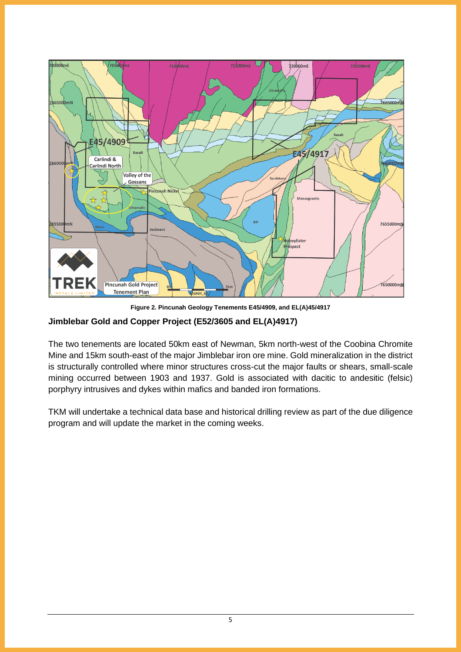

**Figure 2. Pincunah Geology Tenements E45/4909, and EL(A)45/4917**

#### **Jimblebar Gold and Copper Project (E52/3605 and EL(A)4917)**

The two tenements are located 50km east of Newman, 5km north-west of the Coobina Chromite Mine and 15km south-east of the major Jimblebar iron ore mine. Gold mineralization in the district is structurally controlled where minor structures cross-cut the major faults or shears, small-scale mining occurred between 1903 and 1937. Gold is associated with dacitic to andesitic (felsic) porphyry intrusives and dykes within mafics and banded iron formations.

TKM will undertake a technical data base and historical drilling review as part of the due diligence program and will update the market in the coming weeks.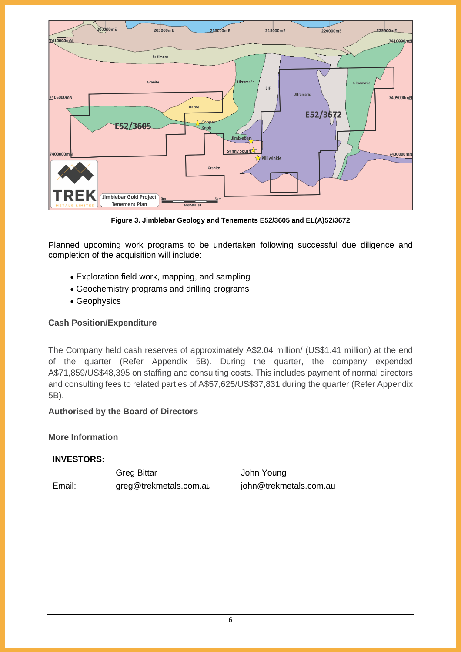

**Figure 3. Jimblebar Geology and Tenements E52/3605 and EL(A)52/3672**

Planned upcoming work programs to be undertaken following successful due diligence and completion of the acquisition will include:

- Exploration field work, mapping, and sampling
- Geochemistry programs and drilling programs
- Geophysics

#### **Cash Position/Expenditure**

The Company held cash reserves of approximately A\$2.04 million/ (US\$1.41 million) at the end of the quarter (Refer Appendix 5B). During the quarter, the company expended A\$71,859/US\$48,395 on staffing and consulting costs. This includes payment of normal directors and consulting fees to related parties of A\$57,625/US\$37,831 during the quarter (Refer Appendix 5B).

## **Authorised by the Board of Directors**

#### **More Information**

#### **INVESTORS:**

Greg Bittar **Greg Bittar** John Young Email: greg@trekmetals.com.au john@trekmetals.com.au